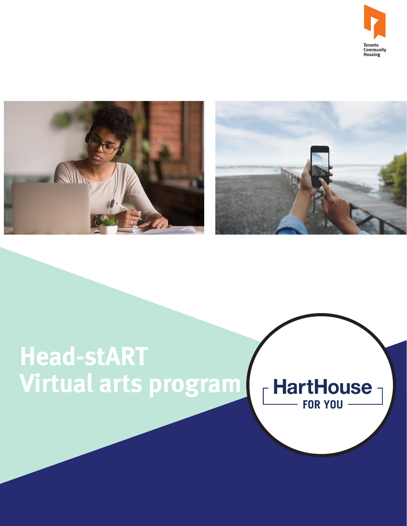





# **Head-stART Virtual arts program**

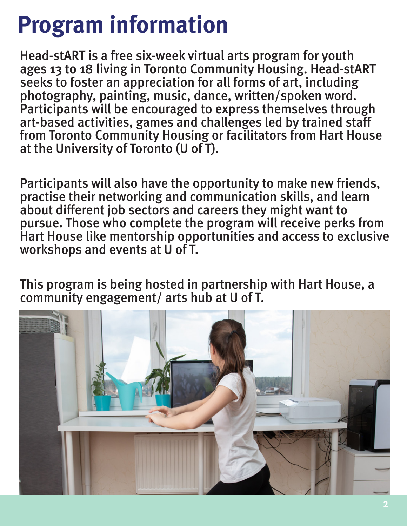## **Program information**

 at the University of Toronto (U of T). Head-stART is a free six-week virtual arts program for youth ages 13 to 18 living in Toronto Community Housing. Head-stART seeks to foster an appreciation for all forms of art, including photography, painting, music, dance, written/spoken word. Participants will be encouraged to express themselves through art-based activities, games and challenges led by trained staff from Toronto Community Housing or facilitators from Hart House

Participants will also have the opportunity to make new friends, practise their networking and communication skills, and learn about different job sectors and careers they might want to pursue. Those who complete the program will receive perks from Hart House like mentorship opportunities and access to exclusive workshops and events at U of T.

This program is being hosted in partnership with Hart House, a community engagement/ arts hub at U of T.

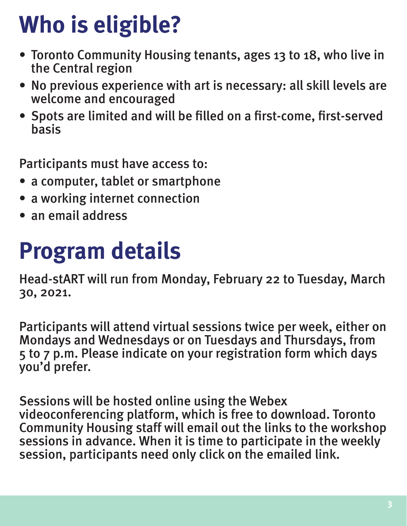## **Who is eligible?**

- Toronto Community Housing tenants, ages 13 to 18, who live in the Central region
- No previous experience with art is necessary: all skill levels are welcome and encouraged
- Spots are limited and will be filled on a first-come, first-served basis

Participants must have access to:

- a computer, tablet or smartphone
- a working internet connection
- an email address

## **Program details**

Head-stART will run from Monday, February 22 to Tuesday, March 30, 2021.

Participants will attend virtual sessions twice per week, either on Mondays and Wednesdays or on Tuesdays and Thursdays, from 5 to 7 p.m. Please indicate on your registration form which days you'd prefer.

Sessions will be hosted online using the Webex videoconferencing platform, which is free to download. Toronto Community Housing staff will email out the links to the workshop sessions in advance. When it is time to participate in the weekly session, participants need only click on the emailed link.